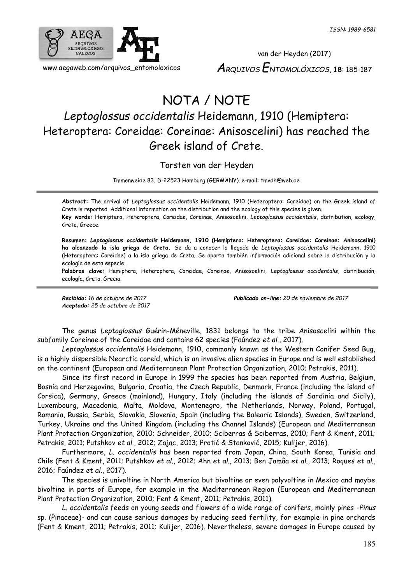

van der Heyden (2017) *ARQUIVOS ENTOMOLÓXICOS*, **18**: 185-187

## NOTA / NOTE

## *Leptoglossus occidentalis* Heidemann, 1910 (Hemiptera: Heteroptera: Coreidae: Coreinae: Anisoscelini) has reached the Greek island of Crete.

Torsten van der Heyden

Immenweide 83, D-22523 Hamburg (GERMANY). e-mail[: tmvdh@web.de](mailto:tmvdh@web.de)

**Abstract:** The arrival of *Leptoglossus occidentalis* Heidemann, 1910 (Heteroptera: Coreidae) on the Greek island of Crete is reported. Additional information on the distribution and the ecology of this species is given. **Key words:** Hemiptera, Heteroptera, Coreidae, Coreinae, Anisoscelini, *Leptoglossus occidentalis*, distribution, ecology,

Crete, Greece.

**Resumen:** *Leptoglossus occidentalis* **Heidemann, 1910 (Hemiptera: Heteroptera: Coreidae: Coreinae: Anisoscelini) ha alcanzado la isla griega de Creta.** Se da a conocer la llegada de *Leptoglossus occidentalis* Heidemann, 1910 (Heteroptera: Coreidae) a la isla griega de Creta. Se aporta también información adicional sobre la distribución y la ecología de esta especie.

**Palabras clave:** Hemiptera, Heteroptera, Coreidae, Coreinae, Anisoscelini, *Leptoglossus occidentalis*, distribución, ecología, Creta, Grecia.

*Aceptado: 25 de octubre de 2017*

*Recibido: 16 de octubre de 2017 Publicado on-line: 20 de noviembre de 2017*

The genus *Leptoglossus* Guérin-Méneville, 1831 belongs to the tribe Anisoscelini within the subfamily Coreinae of the Coreidae and contains 62 species (Faúndez *et al*., 2017).

*Leptoglossus occidentalis* Heidemann, 1910, commonly known as the Western Conifer Seed Bug, is a highly dispersible Nearctic coreid, which is an invasive alien species in Europe and is well established on the continent (European and Mediterranean Plant Protection Organization, 2010; Petrakis, 2011).

Since its first record in Europe in 1999 the species has been reported from Austria, Belgium, Bosnia and Herzegovina, Bulgaria, Croatia, the Czech Republic, Denmark, France (including the island of Corsica), Germany, Greece (mainland), Hungary, Italy (including the islands of Sardinia and Sicily), Luxembourg, Macedonia, Malta, Moldova, Montenegro, the Netherlands, Norway, Poland, Portugal, Romania, Russia, Serbia, Slovakia, Slovenia, Spain (including the Balearic Islands), Sweden, Switzerland, Turkey, Ukraine and the United Kingdom (including the Channel Islands) (European and Mediterranean Plant Protection Organization, 2010; Schneider, 2010; Sciberras & Sciberras, 2010; Fent & Kment, 2011; Petrakis, 2011; Putshkov *et al*., 2012; Zając, 2013; Protić & Stanković, 2015; Kulijer, 2016).

Furthermore, *L. occidentalis* has been reported from Japan, China, South Korea, Tunisia and Chile (Fent & Kment, 2011; Putshkov *et al*., 2012; Ahn *et al*., 2013; Ben Jamâa *et al*., 2013; Roques *et al*., 2016; Faúndez *et al*., 2017).

The species is univoltine in North America but bivoltine or even polyvoltine in Mexico and maybe bivoltine in parts of Europe, for example in the Mediterranean Region (European and Mediterranean Plant Protection Organization, 2010; Fent & Kment, 2011; Petrakis, 2011).

*L. occidentalis* feeds on young seeds and flowers of a wide range of conifers, mainly pines -*Pinus* sp. (Pinaceae)- and can cause serious damages by reducing seed fertility, for example in pine orchards (Fent & Kment, 2011; Petrakis, 2011; Kulijer, 2016). Nevertheless, severe damages in Europe caused by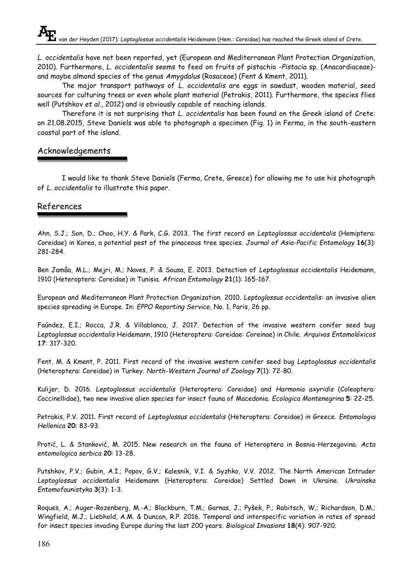*L. occidentalis* have not been reported, yet (European and Mediterranean Plant Protection Organization, 2010). Furthermore, *L. occidentalis* seems to feed on fruits of pistachio -*Pistacia* sp. (Anacardiaceae) and maybe almond species of the genus *Amygdalus* (Rosaceae) (Fent & Kment, 2011).

The major transport pathways of *L. occidentalis* are eggs in sawdust, wooden material, seed sources for culturing trees or even whole plant material (Petrakis, 2011). Furthermore, the species flies well (Putshkov *et al*., 2012) and is obviously capable of reaching islands.

Therefore it is not surprising that *L. occidentalis* has been found on the Greek island of Crete: on 21.08.2015, Steve Daniels was able to photograph a specimen (Fig. 1) in Ferma, in the south-eastern coastal part of the island.

## Acknowledgements

I would like to thank Steve Daniels (Ferma, Crete, Greece) for allowing me to use his photograph of *L. occidentalis* to illustrate this paper.

## References

Ahn, S.J.; Son, D.; Choo, H.Y. & Park, C.G. 2013. The first record on *Leptoglossus occidentalis* (Hemiptera: Coreidae) in Korea, a potential pest of the pinaceous tree species. *Journal of Asia-Pacific Entomology* **16**(3): 281-284.

Ben Jamâa, M.L.; Mejri, M.; Naves, P. & Sousa, E. 2013. Detection of *Leptoglossus occidentalis* Heidemann, 1910 (Heteroptera: Coreidae) in Tunisia. *African Entomology* **21**(1): 165-167.

European and Mediterranean Plant Protection Organization. 2010. *Leptoglossus occidentalis:* an invasive alien species spreading in Europe. In: *EPPO Reporting Service*, No. 1, Paris, 26 pp.

Faúndez, E.I.; Rocca, J.R. & Villablanca, J. 2017. Detection of the invasive western conifer seed bug *Leptoglossus occidentalis* Heidemann, 1910 (Heteroptera: Coreidae: Coreinae) in Chile. *Arquivos Entomolóxicos* **17**: 317-320.

Fent, M. & Kment, P. 2011. First record of the invasive western conifer seed bug *Leptoglossus occidentalis* (Heteroptera: Coreidae) in Turkey. *North-Western Journal of Zoology* **7**(1): 72-80.

Kulijer, D. 2016. *Leptoglossus occidentalis* (Heteroptera: Coreidae) and *Harmonia axyridis* (Coleoptera: Coccinellidae), two new invasive alien species for insect fauna of Macedonia. *Ecologica Montenegrina* **5**: 22-25.

Petrakis, P.V. 2011. First record of *Leptoglossus occidentalis* (Heteroptera: Coreidae) in Greece. *Entomologia Hellenica* **20**: 83-93.

Protić, L. & Stanković, M. 2015. New research on the fauna of Heteroptera in Bosnia-Herzegovina. *Acta entomologica serbica* **20**: 13-28.

Putshkov, P.V.; Gubin, A.I.; Popov, G.V.; Kalesnik, V.I. & Syzhko, V.V. 2012. The North American Intruder *Leptoglossus occidentalis* Heidemann (Heteroptera: Coreidae) Settled Down in Ukraine. *Ukrainska Entomofaunistyka* **3**(3): 1-3.

Roques, A.; Auger-Rozenberg, M.-A.; Blackburn, T.M.; Garnas, J.; Pyšek, P.; Rabitsch, W.; Richardson, D.M.; Wingfield, M.J.; Liebhold, A.M. & Duncan, R.P. 2016. Temporal and interspecific variation in rates of spread for insect species invading Europe during the last 200 years. *Biological Invasions* **18**(4): 907-920.